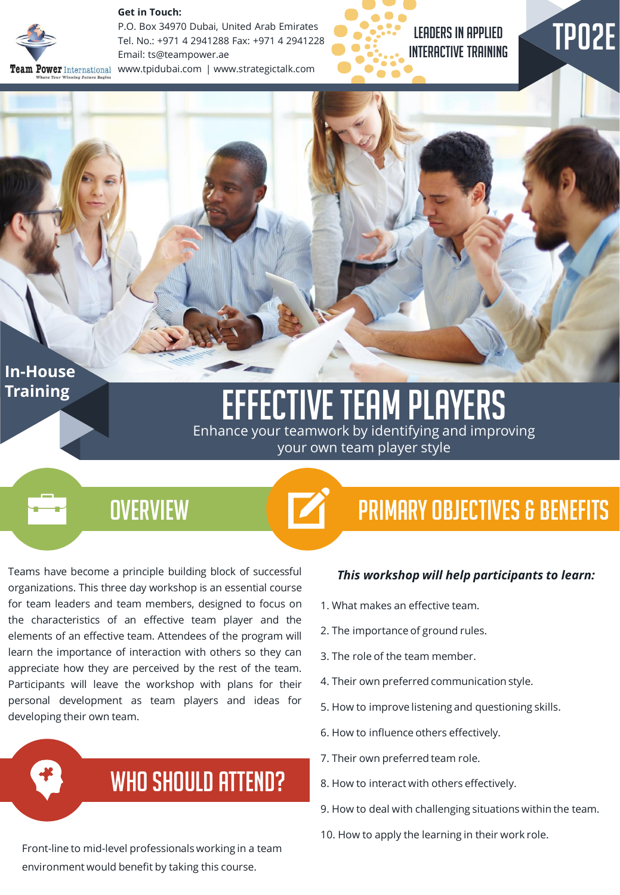

#### **Get in Touch:**

P.O. Box 34970 Dubai, United Arab Emirates Tel. No.: +971 4 2941288 Fax: +971 4 2941228 Email: ts@teampower.ae Team Power International www.tpidubai.com | www.strategictalk.com



### LEADERS IN APPLIED INTERACTIVE TRAINING

# TP02E

### **In-House Training**

### Effective Team Players Enhance your teamwork by identifying and improving

your own team player style

 $\overline{\phantom{a}}$ 

## **OVERVIEW**

Teams have become a principle building block of successful organizations. This three day workshop is an essential course for team leaders and team members, designed to focus on the characteristics of an effective team player and the elements of an effective team. Attendees of the program will learn the importance of interaction with others so they can appreciate how they are perceived by the rest of the team. Participants will leave the workshop with plans for their personal development as team players and ideas for developing their own team.

# WHO SHOULD ATTEND?

Front-line to mid-level professionals working in a team environment would benefit by taking this course.

# Primary Objectives & Benefits

#### *This workshop will help participants to learn:*

- 1. What makes an effective team.
- 2. The importance of ground rules.
- 3. The role of the team member.
- 4. Their own preferred communication style.
- 5. How to improve listening and questioning skills.
- 6. How to influence others effectively.
- 7. Their own preferred team role.
- 8. How to interact with others effectively.
- 9. How to deal with challenging situations within the team.
- 10. How to apply the learning in their work role.